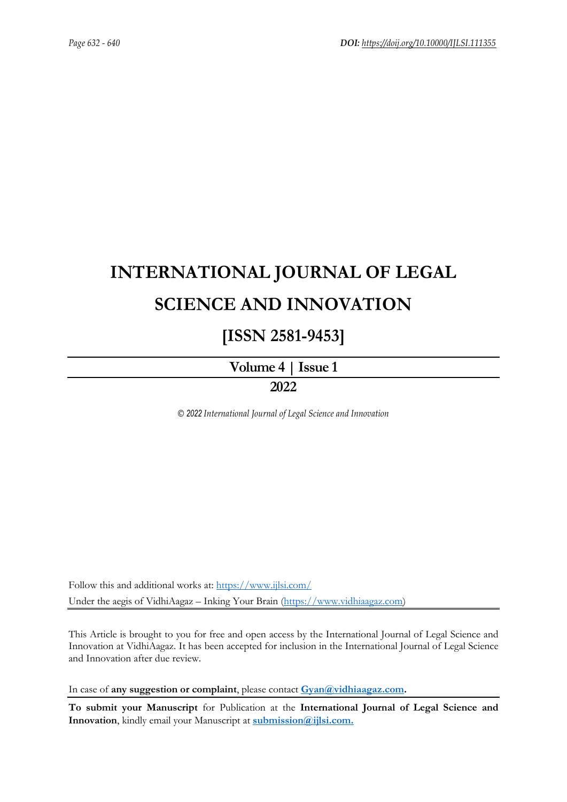# **INTERNATIONAL JOURNAL OF LEGAL SCIENCE AND INNOVATION**

## **[ISSN 2581-9453]**

**[Volume](https://ijlsi.com/publications/volume-iv-issue-i) 4 | Issue 1**

### **2022**

*© 2022 International Journal of Legal Science and Innovation*

Follow this and additional works at: <https://www.ijlsi.com/> Under the aegis of VidhiAagaz – Inking Your Brain [\(https://www.vidhiaagaz.com\)](https://www.vidhiaagaz.com/)

This Article is brought to you for free and open access by the International Journal of Legal Science and Innovation at VidhiAagaz. It has been accepted for inclusion in the International Journal of Legal Science and Innovation after due review.

In case of **any suggestion or complaint**, please contact **[Gyan@vidhiaagaz.com.](mailto:Gyan@vidhiaagaz.com)**

**To submit your Manuscript** for Publication at the **International Journal of Legal Science and Innovation**, kindly email your Manuscript at **[submission@ijlsi.com.](mailto:submission@ijlsi.com)**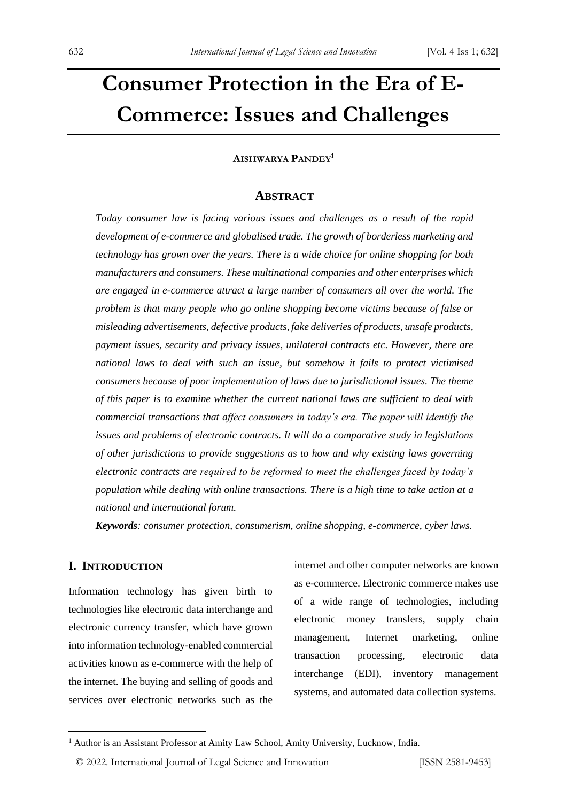# **Consumer Protection in the Era of E-Commerce: Issues and Challenges**

**AISHWARYA PANDEY<sup>1</sup>**

#### **ABSTRACT**

*Today consumer law is facing various issues and challenges as a result of the rapid development of e-commerce and globalised trade. The growth of borderless marketing and technology has grown over the years. There is a wide choice for online shopping for both manufacturers and consumers. These multinational companies and other enterprises which are engaged in e-commerce attract a large number of consumers all over the world. The problem is that many people who go online shopping become victims because of false or misleading advertisements, defective products, fake deliveries of products, unsafe products, payment issues, security and privacy issues, unilateral contracts etc. However, there are national laws to deal with such an issue, but somehow it fails to protect victimised consumers because of poor implementation of laws due to jurisdictional issues. The theme of this paper is to examine whether the current national laws are sufficient to deal with commercial transactions that affect consumers in today's era. The paper will identify the issues and problems of electronic contracts. It will do a comparative study in legislations of other jurisdictions to provide suggestions as to how and why existing laws governing electronic contracts are required to be reformed to meet the challenges faced by today's population while dealing with online transactions. There is a high time to take action at a national and international forum.*

*Keywords: consumer protection, consumerism, online shopping, e-commerce, cyber laws.*

#### **I. INTRODUCTION**

Information technology has given birth to technologies like electronic data interchange and electronic currency transfer, which have grown into information technology-enabled commercial activities known as e-commerce with the help of the internet. The buying and selling of goods and services over electronic networks such as the

internet and other computer networks are known as e-commerce. Electronic commerce makes use of a wide range of technologies, including electronic money transfers, supply chain management, Internet marketing, online transaction processing, electronic data interchange (EDI), inventory management systems, and automated data collection systems.

<sup>&</sup>lt;sup>1</sup> Author is an Assistant Professor at Amity Law School, Amity University, Lucknow, India.

<sup>©</sup> 2022. International Journal of Legal Science and Innovation [ISSN 2581-9453]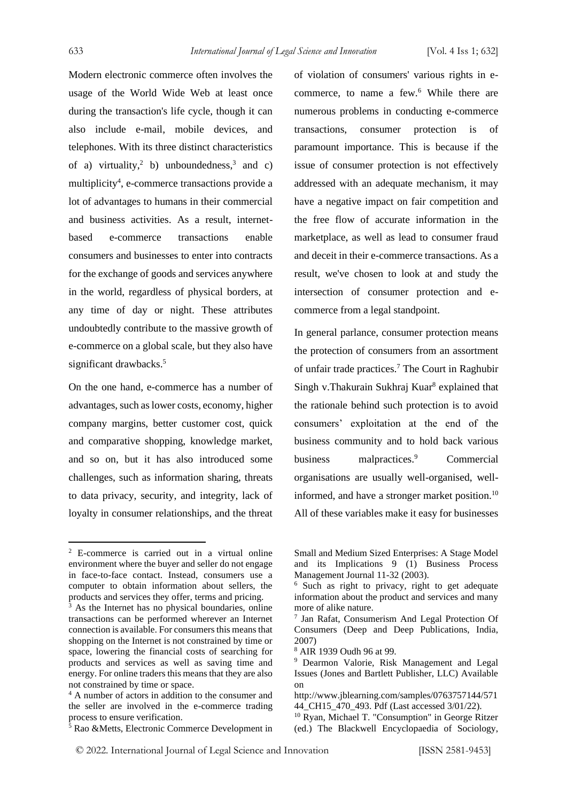Modern electronic commerce often involves the usage of the World Wide Web at least once during the transaction's life cycle, though it can also include e-mail, mobile devices, and telephones. With its three distinct characteristics of a) virtuality,<sup>2</sup> b) unboundedness,<sup>3</sup> and c) multiplicity<sup>4</sup>, e-commerce transactions provide a lot of advantages to humans in their commercial and business activities. As a result, internetbased e-commerce transactions enable consumers and businesses to enter into contracts for the exchange of goods and services anywhere in the world, regardless of physical borders, at any time of day or night. These attributes undoubtedly contribute to the massive growth of e-commerce on a global scale, but they also have significant drawbacks.<sup>5</sup>

On the one hand, e-commerce has a number of advantages, such as lower costs, economy, higher company margins, better customer cost, quick and comparative shopping, knowledge market, and so on, but it has also introduced some challenges, such as information sharing, threats to data privacy, security, and integrity, lack of loyalty in consumer relationships, and the threat of violation of consumers' various rights in ecommerce, to name a few.<sup>6</sup> While there are numerous problems in conducting e-commerce transactions, consumer protection is of paramount importance. This is because if the issue of consumer protection is not effectively addressed with an adequate mechanism, it may have a negative impact on fair competition and the free flow of accurate information in the marketplace, as well as lead to consumer fraud and deceit in their e-commerce transactions. As a result, we've chosen to look at and study the intersection of consumer protection and ecommerce from a legal standpoint.

In general parlance, consumer protection means the protection of consumers from an assortment of unfair trade practices.<sup>7</sup> The Court in Raghubir Singh v.Thakurain Sukhraj Kuar<sup>8</sup> explained that the rationale behind such protection is to avoid consumers' exploitation at the end of the business community and to hold back various business malpractices.<sup>9</sup> Commercial organisations are usually well-organised, wellinformed, and have a stronger market position.<sup>10</sup> All of these variables make it easy for businesses

<sup>2</sup> E-commerce is carried out in a virtual online environment where the buyer and seller do not engage in face-to-face contact. Instead, consumers use a computer to obtain information about sellers, the products and services they offer, terms and pricing.

<sup>&</sup>lt;sup>3</sup> As the Internet has no physical boundaries, online transactions can be performed wherever an Internet connection is available. For consumers this means that shopping on the Internet is not constrained by time or space, lowering the financial costs of searching for products and services as well as saving time and energy. For online traders this means that they are also not constrained by time or space.

<sup>4</sup> A number of actors in addition to the consumer and the seller are involved in the e-commerce trading process to ensure verification.

 $\frac{5}{5}$  Rao &Metts, Electronic Commerce Development in

Small and Medium Sized Enterprises: A Stage Model and its Implications 9 (1) Business Process Management Journal 11-32 (2003).

<sup>6</sup> Such as right to privacy, right to get adequate information about the product and services and many more of alike nature.

<sup>7</sup> Jan Rafat, Consumerism And Legal Protection Of Consumers (Deep and Deep Publications, India, 2007)

<sup>8</sup> AIR 1939 Oudh 96 at 99.

<sup>9</sup> Dearmon Valorie, Risk Management and Legal Issues (Jones and Bartlett Publisher, LLC) Available on

http://www.jblearning.com/samples/0763757144/571 44\_CH15\_470\_493. Pdf (Last accessed 3/01/22).

<sup>10</sup> Ryan, Michael T. "Consumption" in George Ritzer (ed.) The Blackwell Encyclopaedia of Sociology,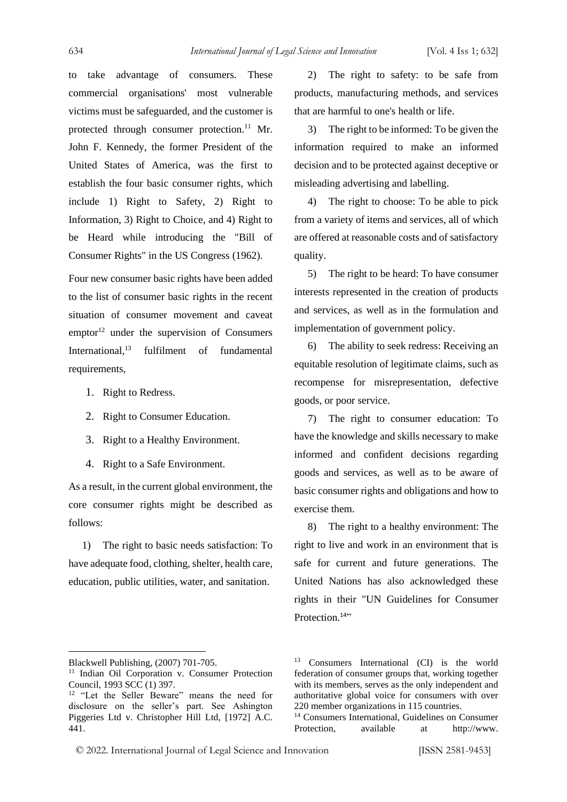to take advantage of consumers. These commercial organisations' most vulnerable victims must be safeguarded, and the customer is protected through consumer protection.<sup>11</sup> Mr. John F. Kennedy, the former President of the United States of America, was the first to establish the four basic consumer rights, which include 1) Right to Safety, 2) Right to Information, 3) Right to Choice, and 4) Right to be Heard while introducing the "Bill of Consumer Rights" in the US Congress (1962).

Four new consumer basic rights have been added to the list of consumer basic rights in the recent situation of consumer movement and caveat emptor<sup>12</sup> under the supervision of Consumers International,<sup>13</sup> fulfilment of fundamental requirements,

- 1. Right to Redress.
- 2. Right to Consumer Education.
- 3. Right to a Healthy Environment.
- 4. Right to a Safe Environment.

As a result, in the current global environment, the core consumer rights might be described as follows:

1) The right to basic needs satisfaction: To have adequate food, clothing, shelter, health care, education, public utilities, water, and sanitation.

2) The right to safety: to be safe from products, manufacturing methods, and services that are harmful to one's health or life.

3) The right to be informed: To be given the information required to make an informed decision and to be protected against deceptive or misleading advertising and labelling.

4) The right to choose: To be able to pick from a variety of items and services, all of which are offered at reasonable costs and of satisfactory quality.

5) The right to be heard: To have consumer interests represented in the creation of products and services, as well as in the formulation and implementation of government policy.

6) The ability to seek redress: Receiving an equitable resolution of legitimate claims, such as recompense for misrepresentation, defective goods, or poor service.

7) The right to consumer education: To have the knowledge and skills necessary to make informed and confident decisions regarding goods and services, as well as to be aware of basic consumer rights and obligations and how to exercise them.

8) The right to a healthy environment: The right to live and work in an environment that is safe for current and future generations. The United Nations has also acknowledged these rights in their "UN Guidelines for Consumer Protection.<sup>14</sup>"

<sup>14</sup> Consumers International, Guidelines on Consumer Protection, available at http://www.

© 2022. International Journal of Legal Science and Innovation [ISSN 2581-9453]

Blackwell Publishing, (2007) 701-705.

<sup>&</sup>lt;sup>11</sup> Indian Oil Corporation v. Consumer Protection Council, 1993 SCC (1) 397.

<sup>&</sup>lt;sup>12</sup> "Let the Seller Beware" means the need for disclosure on the seller's part. See Ashington Piggeries Ltd v. Christopher Hill Ltd, [1972] A.C. 441.

<sup>&</sup>lt;sup>13</sup> Consumers International (CI) is the world federation of consumer groups that, working together with its members, serves as the only independent and authoritative global voice for consumers with over 220 member organizations in 115 countries.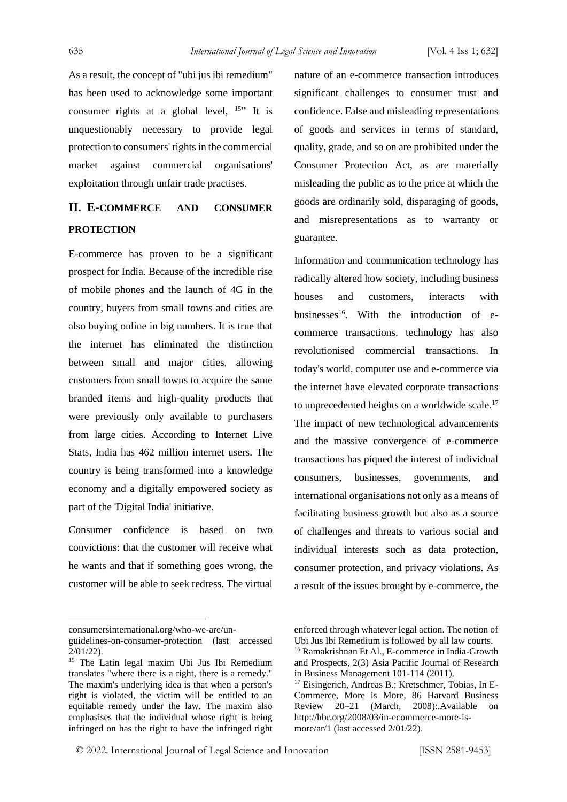As a result, the concept of "ubi jus ibi remedium" has been used to acknowledge some important consumer rights at a global level,  $15$ <sup>th</sup> It is unquestionably necessary to provide legal protection to consumers' rights in the commercial market against commercial organisations' exploitation through unfair trade practises.

### **II. E-COMMERCE AND CONSUMER PROTECTION**

E-commerce has proven to be a significant prospect for India. Because of the incredible rise of mobile phones and the launch of 4G in the country, buyers from small towns and cities are also buying online in big numbers. It is true that the internet has eliminated the distinction between small and major cities, allowing customers from small towns to acquire the same branded items and high-quality products that were previously only available to purchasers from large cities. According to Internet Live Stats, India has 462 million internet users. The country is being transformed into a knowledge economy and a digitally empowered society as part of the 'Digital India' initiative.

Consumer confidence is based on two convictions: that the customer will receive what he wants and that if something goes wrong, the customer will be able to seek redress. The virtual

nature of an e-commerce transaction introduces significant challenges to consumer trust and confidence. False and misleading representations of goods and services in terms of standard, quality, grade, and so on are prohibited under the Consumer Protection Act, as are materially misleading the public as to the price at which the goods are ordinarily sold, disparaging of goods, and misrepresentations as to warranty or guarantee.

Information and communication technology has radically altered how society, including business houses and customers, interacts with businesses<sup>16</sup>. With the introduction of ecommerce transactions, technology has also revolutionised commercial transactions. In today's world, computer use and e-commerce via the internet have elevated corporate transactions to unprecedented heights on a worldwide scale.<sup>17</sup> The impact of new technological advancements and the massive convergence of e-commerce transactions has piqued the interest of individual consumers, businesses, governments, and international organisations not only as a means of facilitating business growth but also as a source of challenges and threats to various social and individual interests such as data protection, consumer protection, and privacy violations. As a result of the issues brought by e-commerce, the

consumersinternational.org/who-we-are/un-

guidelines-on-consumer-protection (last accessed 2/01/22).

<sup>&</sup>lt;sup>15</sup> The Latin legal maxim Ubi Jus Ibi Remedium translates "where there is a right, there is a remedy." The maxim's underlying idea is that when a person's right is violated, the victim will be entitled to an equitable remedy under the law. The maxim also emphasises that the individual whose right is being infringed on has the right to have the infringed right

enforced through whatever legal action. The notion of Ubi Jus Ibi Remedium is followed by all law courts.

<sup>&</sup>lt;sup>16</sup> Ramakrishnan Et Al., E-commerce in India-Growth and Prospects, 2(3) Asia Pacific Journal of Research in Business Management 101-114 (2011).

<sup>17</sup> Eisingerich, Andreas B.; Kretschmer, Tobias, In E-Commerce, More is More, 86 Harvard Business Review 20–21 (March, 2008):.Available on http://hbr.org/2008/03/in-ecommerce-more-ismore/ar/1 (last accessed 2/01/22).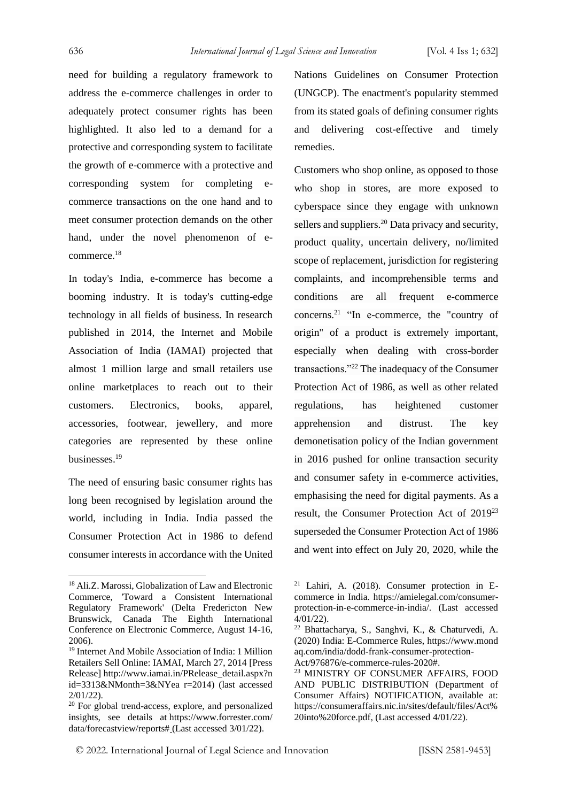need for building a regulatory framework to address the e-commerce challenges in order to adequately protect consumer rights has been highlighted. It also led to a demand for a protective and corresponding system to facilitate the growth of e-commerce with a protective and corresponding system for completing ecommerce transactions on the one hand and to meet consumer protection demands on the other hand, under the novel phenomenon of ecommerce.<sup>18</sup>

In today's India, e-commerce has become a booming industry. It is today's cutting-edge technology in all fields of business. In research published in 2014, the Internet and Mobile Association of India (IAMAI) projected that almost 1 million large and small retailers use online marketplaces to reach out to their customers. Electronics, books, apparel, accessories, footwear, jewellery, and more categories are represented by these online businesses.<sup>19</sup>

The need of ensuring basic consumer rights has long been recognised by legislation around the world, including in India. India passed the Consumer Protection Act in 1986 to defend consumer interests in accordance with the United Nations Guidelines on Consumer Protection (UNGCP). The enactment's popularity stemmed from its stated goals of defining consumer rights and delivering cost-effective and timely remedies.

Customers who shop online, as opposed to those who shop in stores, are more exposed to cyberspace since they engage with unknown sellers and suppliers.<sup>20</sup> Data privacy and security, product quality, uncertain delivery, no/limited scope of replacement, jurisdiction for registering complaints, and incomprehensible terms and conditions are all frequent e-commerce concerns.<sup>21</sup> "In e-commerce, the "country of origin" of a product is extremely important, especially when dealing with cross-border transactions."<sup>22</sup> The inadequacy of the Consumer Protection Act of 1986, as well as other related regulations, has heightened customer apprehension and distrust. The key demonetisation policy of the Indian government in 2016 pushed for online transaction security and consumer safety in e-commerce activities, emphasising the need for digital payments. As a result, the Consumer Protection Act of 2019<sup>23</sup> superseded the Consumer Protection Act of 1986 and went into effect on July 20, 2020, while the

<sup>18</sup> Ali.Z. Marossi, Globalization of Law and Electronic Commerce, 'Toward a Consistent International Regulatory Framework' (Delta Fredericton New Brunswick, Canada The Eighth International Conference on Electronic Commerce, August 14-16, 2006).

<sup>19</sup> Internet And Mobile Association of India: 1 Million Retailers Sell Online: IAMAI, March 27, 2014 [Press Release] http://www.iamai.in/PRelease\_detail.aspx?n id=3313&NMonth=3&NYea r=2014) (last accessed 2/01/22).

<sup>20</sup> For global trend-access, explore, and personalized insights, see details at https://www.forrester.com/ data/forecastview/reports# (Last accessed 3/01/22).

<sup>21</sup> Lahiri, A. (2018). Consumer protection in Ecommerce in India. https://amielegal.com/consumerprotection-in-e-commerce-in-india/. (Last accessed 4/01/22).

<sup>22</sup> Bhattacharya, S., Sanghvi, K., & Chaturvedi, A. (2020) India: E-Commerce Rules, https://www.mond aq.com/india/dodd-frank-consumer-protection-

Act/976876/e-commerce-rules-2020#.

<sup>23</sup> MINISTRY OF CONSUMER AFFAIRS, FOOD AND PUBLIC DISTRIBUTION (Department of Consumer Affairs) NOTIFICATION, available at: https://consumeraffairs.nic.in/sites/default/files/Act% 20into%20force.pdf, (Last accessed 4/01/22).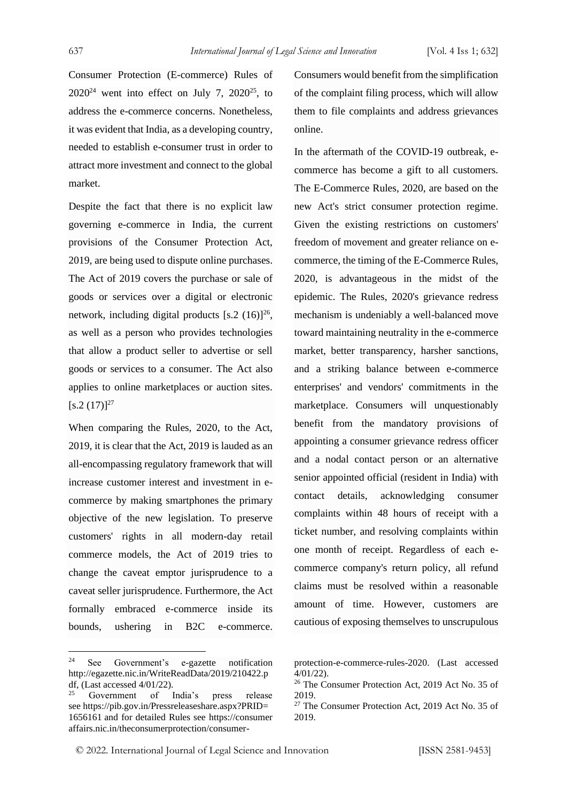Consumer Protection (E-commerce) Rules of  $2020^{24}$  went into effect on July 7,  $2020^{25}$ , to address the e-commerce concerns. Nonetheless, it was evident that India, as a developing country, needed to establish e-consumer trust in order to attract more investment and connect to the global market.

Despite the fact that there is no explicit law governing e-commerce in India, the current provisions of the Consumer Protection Act, 2019, are being used to dispute online purchases. The Act of 2019 covers the purchase or sale of goods or services over a digital or electronic network, including digital products  $[s.2 (16)]^{26}$ , as well as a person who provides technologies that allow a product seller to advertise or sell goods or services to a consumer. The Act also applies to online marketplaces or auction sites.  $[s.2 (17)]^{27}$ 

When comparing the Rules, 2020, to the Act, 2019, it is clear that the Act, 2019 is lauded as an all-encompassing regulatory framework that will increase customer interest and investment in ecommerce by making smartphones the primary objective of the new legislation. To preserve customers' rights in all modern-day retail commerce models, the Act of 2019 tries to change the caveat emptor jurisprudence to a caveat seller jurisprudence. Furthermore, the Act formally embraced e-commerce inside its bounds, ushering in B2C e-commerce. Consumers would benefit from the simplification of the complaint filing process, which will allow them to file complaints and address grievances online.

In the aftermath of the COVID-19 outbreak, ecommerce has become a gift to all customers. The E-Commerce Rules, 2020, are based on the new Act's strict consumer protection regime. Given the existing restrictions on customers' freedom of movement and greater reliance on ecommerce, the timing of the E-Commerce Rules, 2020, is advantageous in the midst of the epidemic. The Rules, 2020's grievance redress mechanism is undeniably a well-balanced move toward maintaining neutrality in the e-commerce market, better transparency, harsher sanctions, and a striking balance between e-commerce enterprises' and vendors' commitments in the marketplace. Consumers will unquestionably benefit from the mandatory provisions of appointing a consumer grievance redress officer and a nodal contact person or an alternative senior appointed official (resident in India) with contact details, acknowledging consumer complaints within 48 hours of receipt with a ticket number, and resolving complaints within one month of receipt. Regardless of each ecommerce company's return policy, all refund claims must be resolved within a reasonable amount of time. However, customers are cautious of exposing themselves to unscrupulous

<sup>24</sup> See Government's e-gazette notification http://egazette.nic.in/WriteReadData/2019/210422.p df, (Last accessed 4/01/22).

Government of India's press release see https://pib.gov.in/Pressreleaseshare.aspx?PRID= 1656161 and for detailed Rules see https://consumer affairs.nic.in/theconsumerprotection/consumer-

protection-e-commerce-rules-2020. (Last accessed 4/01/22).

<sup>26</sup> The Consumer Protection Act, 2019 Act No. 35 of 2019.

 $27$  The Consumer Protection Act, 2019 Act No. 35 of 2019.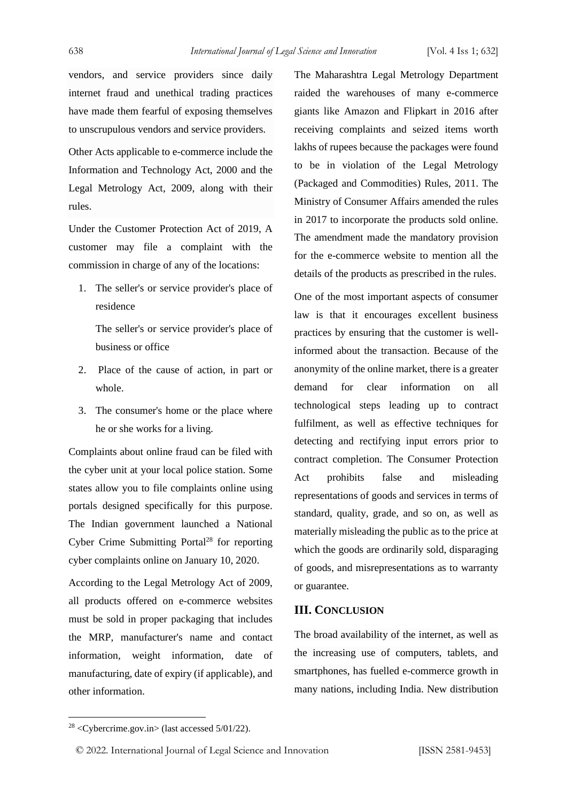vendors, and service providers since daily internet fraud and unethical trading practices have made them fearful of exposing themselves to unscrupulous vendors and service providers.

Other Acts applicable to e-commerce include the Information and Technology Act, 2000 and the Legal Metrology Act, 2009, along with their rules.

Under the Customer Protection Act of 2019, A customer may file a complaint with the commission in charge of any of the locations:

1. The seller's or service provider's place of residence

The seller's or service provider's place of business or office

- 2. Place of the cause of action, in part or whole.
- 3. The consumer's home or the place where he or she works for a living.

Complaints about online fraud can be filed with the cyber unit at your local police station. Some states allow you to file complaints online using portals designed specifically for this purpose. The Indian government launched a National Cyber Crime Submitting Portal $^{28}$  for reporting cyber complaints online on January 10, 2020.

According to the Legal Metrology Act of 2009, all products offered on e-commerce websites must be sold in proper packaging that includes the MRP, manufacturer's name and contact information, weight information, date of manufacturing, date of expiry (if applicable), and other information.

The Maharashtra Legal Metrology Department raided the warehouses of many e-commerce giants like Amazon and Flipkart in 2016 after receiving complaints and seized items worth lakhs of rupees because the packages were found to be in violation of the Legal Metrology (Packaged and Commodities) Rules, 2011. The Ministry of Consumer Affairs amended the rules in 2017 to incorporate the products sold online. The amendment made the mandatory provision for the e-commerce website to mention all the details of the products as prescribed in the rules.

One of the most important aspects of consumer law is that it encourages excellent business practices by ensuring that the customer is wellinformed about the transaction. Because of the anonymity of the online market, there is a greater demand for clear information on all technological steps leading up to contract fulfilment, as well as effective techniques for detecting and rectifying input errors prior to contract completion. The Consumer Protection Act prohibits false and misleading representations of goods and services in terms of standard, quality, grade, and so on, as well as materially misleading the public as to the price at which the goods are ordinarily sold, disparaging of goods, and misrepresentations as to warranty or guarantee.

#### **III. CONCLUSION**

The broad availability of the internet, as well as the increasing use of computers, tablets, and smartphones, has fuelled e-commerce growth in many nations, including India. New distribution

 $28 <$ Cybercrime.gov.in> (last accessed 5/01/22).

<sup>©</sup> 2022. International Journal of Legal Science and Innovation [ISSN 2581-9453]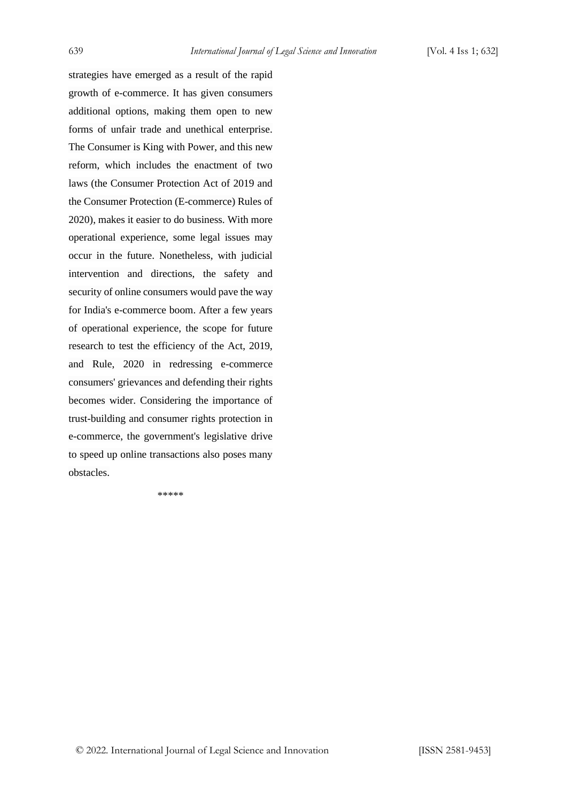strategies have emerged as a result of the rapid growth of e-commerce. It has given consumers additional options, making them open to new forms of unfair trade and unethical enterprise. The Consumer is King with Power, and this new reform, which includes the enactment of two laws (the Consumer Protection Act of 2019 and the Consumer Protection (E-commerce) Rules of 2020), makes it easier to do business. With more operational experience, some legal issues may occur in the future. Nonetheless, with judicial intervention and directions, the safety and security of online consumers would pave the way for India's e-commerce boom. After a few years of operational experience, the scope for future research to test the efficiency of the Act, 2019, and Rule, 2020 in redressing e-commerce consumers' grievances and defending their rights becomes wider. Considering the importance of trust-building and consumer rights protection in e-commerce, the government's legislative drive to speed up online transactions also poses many obstacles.

\*\*\*\*\*